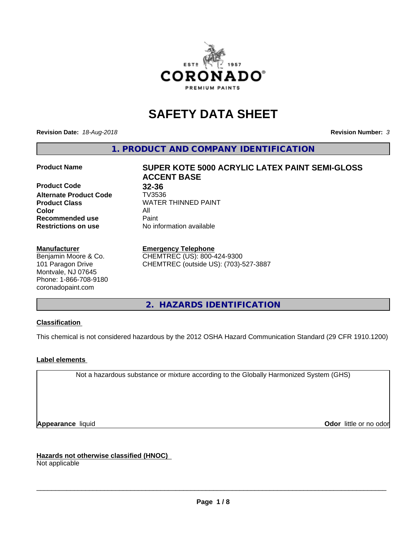

# **SAFETY DATA SHEET**

**Revision Date:** *18-Aug-2018* **Revision Number:** *3*

**1. PRODUCT AND COMPANY IDENTIFICATION**

**Product Code 32-36**<br>**Alternate Product Code 7V3536 Alternate Product Code Color** All **Recommended use** Paint **Restrictions on use** No information available

#### **Manufacturer**

Benjamin Moore & Co. 101 Paragon Drive Montvale, NJ 07645 Phone: 1-866-708-9180 coronadopaint.com

# **Product Name SUPER KOTE 5000 ACRYLIC LATEX PAINT SEMI-GLOSS ACCENT BASE Product Class** WATER THINNED PAINT<br>
Color

**Emergency Telephone**

CHEMTREC (US): 800-424-9300 CHEMTREC (outside US): (703)-527-3887

**2. HAZARDS IDENTIFICATION**

#### **Classification**

This chemical is not considered hazardous by the 2012 OSHA Hazard Communication Standard (29 CFR 1910.1200)

#### **Label elements**

Not a hazardous substance or mixture according to the Globally Harmonized System (GHS)

**Appearance** liquid **Contract Contract Contract Contract Contract Contract Contract Contract Contract Contract Contract Contract Contract Contract Contract Contract Contract Contract Contract Contract Contract Contract Con** 

**Hazards not otherwise classified (HNOC)**

Not applicable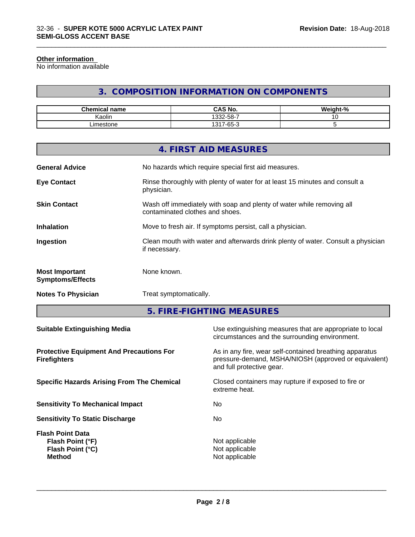#### **Other information**

No information available

# **3. COMPOSITION INFORMATION ON COMPONENTS**

\_\_\_\_\_\_\_\_\_\_\_\_\_\_\_\_\_\_\_\_\_\_\_\_\_\_\_\_\_\_\_\_\_\_\_\_\_\_\_\_\_\_\_\_\_\_\_\_\_\_\_\_\_\_\_\_\_\_\_\_\_\_\_\_\_\_\_\_\_\_\_\_\_\_\_\_\_\_\_\_\_\_\_\_\_\_\_\_\_\_\_\_\_

| <b>Chemical name</b> | <b>CAS No.</b>                   | <br>$\sim$<br>√eight-".<br>- 70 |
|----------------------|----------------------------------|---------------------------------|
| . .<br>. .<br>Kaolin | . ა32-58-7                       |                                 |
| ∟imestone            | $\sim$<br>1317<br>$\sim$<br>-65- |                                 |

|                                                  | 4. FIRST AID MEASURES                                                                                    |
|--------------------------------------------------|----------------------------------------------------------------------------------------------------------|
| <b>General Advice</b>                            | No hazards which require special first aid measures.                                                     |
| <b>Eye Contact</b>                               | Rinse thoroughly with plenty of water for at least 15 minutes and consult a<br>physician.                |
| <b>Skin Contact</b>                              | Wash off immediately with soap and plenty of water while removing all<br>contaminated clothes and shoes. |
| <b>Inhalation</b>                                | Move to fresh air. If symptoms persist, call a physician.                                                |
| Ingestion                                        | Clean mouth with water and afterwards drink plenty of water. Consult a physician<br>if necessary.        |
| <b>Most Important</b><br><b>Symptoms/Effects</b> | None known.                                                                                              |
| <b>Notes To Physician</b>                        | Treat symptomatically.                                                                                   |

**5. FIRE-FIGHTING MEASURES**

| <b>Suitable Extinguishing Media</b>                                                     | Use extinguishing measures that are appropriate to local<br>circumstances and the surrounding environment.                                   |
|-----------------------------------------------------------------------------------------|----------------------------------------------------------------------------------------------------------------------------------------------|
| <b>Protective Equipment And Precautions For</b><br><b>Firefighters</b>                  | As in any fire, wear self-contained breathing apparatus<br>pressure-demand, MSHA/NIOSH (approved or equivalent)<br>and full protective gear. |
| <b>Specific Hazards Arising From The Chemical</b>                                       | Closed containers may rupture if exposed to fire or<br>extreme heat.                                                                         |
| <b>Sensitivity To Mechanical Impact</b>                                                 | No.                                                                                                                                          |
| <b>Sensitivity To Static Discharge</b>                                                  | No.                                                                                                                                          |
| <b>Flash Point Data</b><br>Flash Point (°F)<br><b>Flash Point (°C)</b><br><b>Method</b> | Not applicable<br>Not applicable<br>Not applicable                                                                                           |
|                                                                                         |                                                                                                                                              |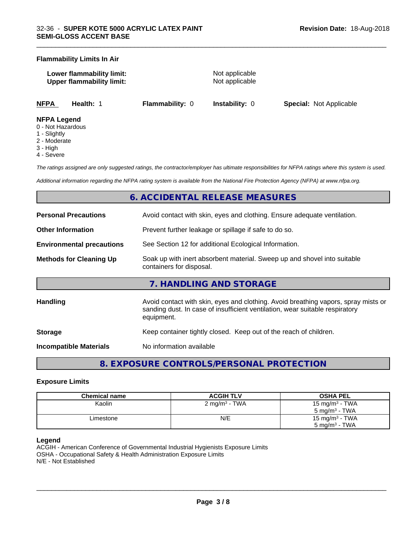#### **Flammability Limits In Air**

**Lower flammability limit:** Not applicable **Upper flammability limit:** Not applicable

\_\_\_\_\_\_\_\_\_\_\_\_\_\_\_\_\_\_\_\_\_\_\_\_\_\_\_\_\_\_\_\_\_\_\_\_\_\_\_\_\_\_\_\_\_\_\_\_\_\_\_\_\_\_\_\_\_\_\_\_\_\_\_\_\_\_\_\_\_\_\_\_\_\_\_\_\_\_\_\_\_\_\_\_\_\_\_\_\_\_\_\_\_

**NFPA Health:** 1 **Flammability:** 0 **Instability:** 0 **Special:** Not Applicable

#### **NFPA Legend**

- 0 Not Hazardous
- 1 Slightly
- 2 Moderate
- 3 High
- 4 Severe

*The ratings assigned are only suggested ratings, the contractor/employer has ultimate responsibilities for NFPA ratings where this system is used.*

*Additional information regarding the NFPA rating system is available from the National Fire Protection Agency (NFPA) at www.nfpa.org.*

# **6. ACCIDENTAL RELEASE MEASURES**

| <b>Personal Precautions</b>      | Avoid contact with skin, eyes and clothing. Ensure adequate ventilation.                                                                                                         |  |  |
|----------------------------------|----------------------------------------------------------------------------------------------------------------------------------------------------------------------------------|--|--|
| <b>Other Information</b>         | Prevent further leakage or spillage if safe to do so.                                                                                                                            |  |  |
| <b>Environmental precautions</b> | See Section 12 for additional Ecological Information.                                                                                                                            |  |  |
| <b>Methods for Cleaning Up</b>   | Soak up with inert absorbent material. Sweep up and shovel into suitable<br>containers for disposal.                                                                             |  |  |
|                                  | 7. HANDLING AND STORAGE                                                                                                                                                          |  |  |
| <b>Handling</b>                  | Avoid contact with skin, eyes and clothing. Avoid breathing vapors, spray mists or<br>sanding dust. In case of insufficient ventilation, wear suitable respiratory<br>equipment. |  |  |
| <b>Storage</b>                   | Keep container tightly closed. Keep out of the reach of children.                                                                                                                |  |  |
| Incompatible Materials           | No information available                                                                                                                                                         |  |  |

# **8. EXPOSURE CONTROLS/PERSONAL PROTECTION**

#### **Exposure Limits**

| Chemical name | <b>ACGIH TLV</b>         | <b>OSHA PEL</b>            |
|---------------|--------------------------|----------------------------|
| Kaolin        | $2 \text{ mg/m}^3$ - TWA | 15 mg/m <sup>3</sup> - TWA |
|               |                          | 5 mg/m $3$ - TWA           |
| Limestone     | N/E                      | 15 mg/m <sup>3</sup> - TWA |
|               |                          | $5 \text{ mg/m}^3$ - TWA   |

#### **Legend**

ACGIH - American Conference of Governmental Industrial Hygienists Exposure Limits OSHA - Occupational Safety & Health Administration Exposure Limits N/E - Not Established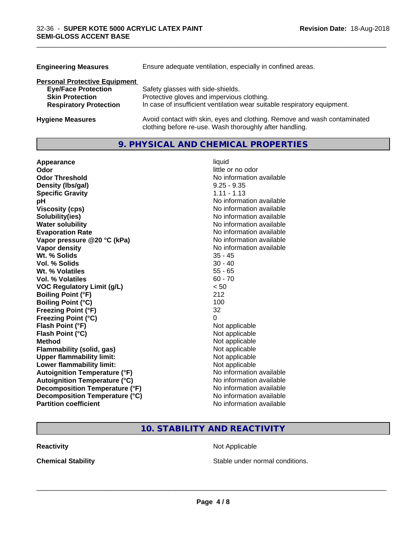| <b>Engineering Measures</b>          | Ensure adequate ventilation, especially in confined areas.                                                                          |
|--------------------------------------|-------------------------------------------------------------------------------------------------------------------------------------|
| <b>Personal Protective Equipment</b> |                                                                                                                                     |
| <b>Eye/Face Protection</b>           | Safety glasses with side-shields.                                                                                                   |
| <b>Skin Protection</b>               | Protective gloves and impervious clothing.                                                                                          |
| <b>Respiratory Protection</b>        | In case of insufficient ventilation wear suitable respiratory equipment.                                                            |
| <b>Hygiene Measures</b>              | Avoid contact with skin, eyes and clothing. Remove and wash contaminated<br>clothing before re-use. Wash thoroughly after handling. |

\_\_\_\_\_\_\_\_\_\_\_\_\_\_\_\_\_\_\_\_\_\_\_\_\_\_\_\_\_\_\_\_\_\_\_\_\_\_\_\_\_\_\_\_\_\_\_\_\_\_\_\_\_\_\_\_\_\_\_\_\_\_\_\_\_\_\_\_\_\_\_\_\_\_\_\_\_\_\_\_\_\_\_\_\_\_\_\_\_\_\_\_\_

## **9. PHYSICAL AND CHEMICAL PROPERTIES**

| Appearance                           | liquid                   |
|--------------------------------------|--------------------------|
| Odor                                 | little or no odor        |
| <b>Odor Threshold</b>                | No information available |
| Density (Ibs/gal)                    | $9.25 - 9.35$            |
| <b>Specific Gravity</b>              | $1.11 - 1.13$            |
| рH                                   | No information available |
| <b>Viscosity (cps)</b>               | No information available |
| Solubility(ies)                      | No information available |
| <b>Water solubility</b>              | No information available |
| <b>Evaporation Rate</b>              | No information available |
| Vapor pressure @20 °C (kPa)          | No information available |
| Vapor density                        | No information available |
| Wt. % Solids                         | $35 - 45$                |
| Vol. % Solids                        | $30 - 40$                |
| Wt. % Volatiles                      | $55 - 65$                |
| Vol. % Volatiles                     | $60 - 70$                |
| <b>VOC Regulatory Limit (g/L)</b>    | < 50                     |
| <b>Boiling Point (°F)</b>            | 212                      |
| <b>Boiling Point (°C)</b>            | 100                      |
| <b>Freezing Point (°F)</b>           | 32                       |
| <b>Freezing Point (°C)</b>           | 0                        |
| Flash Point (°F)                     | Not applicable           |
| Flash Point (°C)                     | Not applicable           |
| <b>Method</b>                        | Not applicable           |
| <b>Flammability (solid, gas)</b>     | Not applicable           |
| <b>Upper flammability limit:</b>     | Not applicable           |
| Lower flammability limit:            | Not applicable           |
| <b>Autoignition Temperature (°F)</b> | No information available |
| <b>Autoignition Temperature (°C)</b> | No information available |
| Decomposition Temperature (°F)       | No information available |
| Decomposition Temperature (°C)       | No information available |
| <b>Partition coefficient</b>         | No information available |

# **10. STABILITY AND REACTIVITY**

**Reactivity Not Applicable** Not Applicable

**Chemical Stability Chemical Stability** Stable under normal conditions.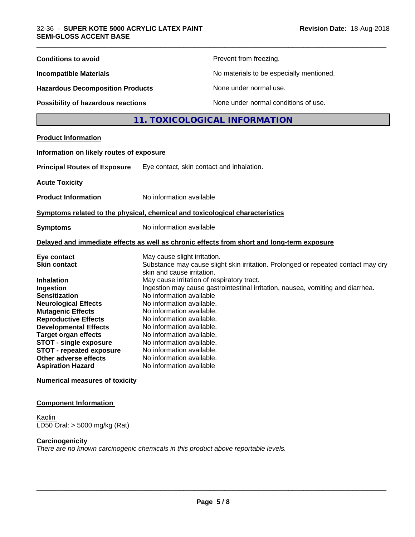#### **Component Information**

**Kaolin** LD50 Oral: > 5000 mg/kg (Rat)

#### **Carcinogenicity**

*There are no known carcinogenic chemicals in this product above reportable levels.*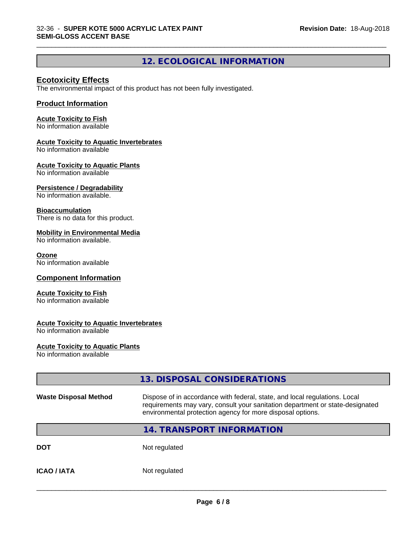# **12. ECOLOGICAL INFORMATION**

\_\_\_\_\_\_\_\_\_\_\_\_\_\_\_\_\_\_\_\_\_\_\_\_\_\_\_\_\_\_\_\_\_\_\_\_\_\_\_\_\_\_\_\_\_\_\_\_\_\_\_\_\_\_\_\_\_\_\_\_\_\_\_\_\_\_\_\_\_\_\_\_\_\_\_\_\_\_\_\_\_\_\_\_\_\_\_\_\_\_\_\_\_

### **Ecotoxicity Effects**

The environmental impact of this product has not been fully investigated.

#### **Product Information**

#### **Acute Toxicity to Fish**

No information available

#### **Acute Toxicity to Aquatic Invertebrates**

No information available

#### **Acute Toxicity to Aquatic Plants**

No information available

#### **Persistence / Degradability**

No information available.

#### **Bioaccumulation**

There is no data for this product.

#### **Mobility in Environmental Media**

No information available.

#### **Ozone**

No information available

#### **Component Information**

#### **Acute Toxicity to Fish**

No information available

#### **Acute Toxicity to Aquatic Invertebrates**

No information available

#### **Acute Toxicity to Aquatic Plants**

No information available

|                              | 13. DISPOSAL CONSIDERATIONS                                                                                                                                                                                               |  |
|------------------------------|---------------------------------------------------------------------------------------------------------------------------------------------------------------------------------------------------------------------------|--|
| <b>Waste Disposal Method</b> | Dispose of in accordance with federal, state, and local regulations. Local<br>requirements may vary, consult your sanitation department or state-designated<br>environmental protection agency for more disposal options. |  |
|                              | 14. TRANSPORT INFORMATION                                                                                                                                                                                                 |  |
| <b>DOT</b>                   | Not regulated                                                                                                                                                                                                             |  |
| <b>ICAO/IATA</b>             | Not regulated                                                                                                                                                                                                             |  |
|                              |                                                                                                                                                                                                                           |  |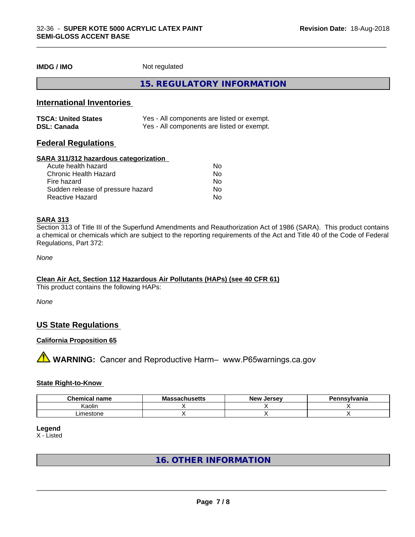**IMDG / IMO** Not regulated

**15. REGULATORY INFORMATION**

\_\_\_\_\_\_\_\_\_\_\_\_\_\_\_\_\_\_\_\_\_\_\_\_\_\_\_\_\_\_\_\_\_\_\_\_\_\_\_\_\_\_\_\_\_\_\_\_\_\_\_\_\_\_\_\_\_\_\_\_\_\_\_\_\_\_\_\_\_\_\_\_\_\_\_\_\_\_\_\_\_\_\_\_\_\_\_\_\_\_\_\_\_

### **International Inventories**

| <b>TSCA: United States</b> | Yes - All components are listed or exempt. |
|----------------------------|--------------------------------------------|
| <b>DSL: Canada</b>         | Yes - All components are listed or exempt. |

#### **Federal Regulations**

#### **SARA 311/312 hazardous categorization**

| Acute health hazard               | No |  |
|-----------------------------------|----|--|
| Chronic Health Hazard             | No |  |
| Fire hazard                       | No |  |
| Sudden release of pressure hazard | Nο |  |
| Reactive Hazard                   | Nο |  |

#### **SARA 313**

Section 313 of Title III of the Superfund Amendments and Reauthorization Act of 1986 (SARA). This product contains a chemical or chemicals which are subject to the reporting requirements of the Act and Title 40 of the Code of Federal Regulations, Part 372:

*None*

#### **Clean Air Act,Section 112 Hazardous Air Pollutants (HAPs) (see 40 CFR 61)**

This product contains the following HAPs:

*None*

#### **US State Regulations**

#### **California Proposition 65**

**A** WARNING: Cancer and Reproductive Harm– www.P65warnings.ca.gov

#### **State Right-to-Know**

| $\sim$<br>name<br>.∩em<br>$\sim$<br>тнса. | ма<br>saunus <del>c</del> us | <b>Jersev</b><br>Nev . | าnsvlvania<br>. |
|-------------------------------------------|------------------------------|------------------------|-----------------|
| <br>Kaolin                                |                              |                        |                 |
| _imestone                                 |                              |                        |                 |

**Legend**

X - Listed

# **16. OTHER INFORMATION**